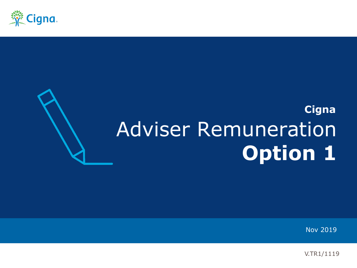

# **Cigna** Adviser Remuneration **Option 1**

Nov 2019

V.TR1/1119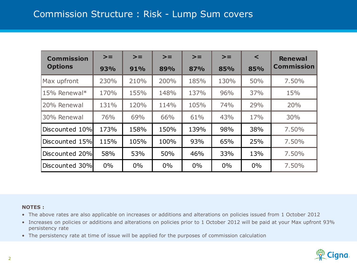| <b>Commission</b> | $>=$  | $>=$  | $>=$  | $>=$  | $>=$  | $\prec$ | <b>Renewal</b>    |
|-------------------|-------|-------|-------|-------|-------|---------|-------------------|
| <b>Options</b>    | 93%   | 91%   | 89%   | 87%   | 85%   | 85%     | <b>Commission</b> |
| Max upfront       | 230%  | 210%  | 200%  | 185%  | 130%  | 50%     | 7.50%             |
| 15% Renewal*      | 170%  | 155%  | 148%  | 137%  | 96%   | 37%     | 15%               |
| 20% Renewal       | 131%  | 120%  | 114%  | 105%  | 74%   | 29%     | 20%               |
| 30% Renewal       | 76%   | 69%   | 66%   | 61%   | 43%   | 17%     | 30%               |
| Discounted 10%    | 173%  | 158%  | 150%  | 139%  | 98%   | 38%     | 7.50%             |
| Discounted 15%    | 115%  | 105%  | 100%  | 93%   | 65%   | 25%     | 7.50%             |
| Discounted 20%    | 58%   | 53%   | 50%   | 46%   | 33%   | 13%     | 7.50%             |
| Discounted 30%    | $0\%$ | $0\%$ | $0\%$ | $0\%$ | $0\%$ | $0\%$   | 7.50%             |

## **NOTES :**

- The above rates are also applicable on increases or additions and alterations on policies issued from 1 October 2012
- Increases on policies or additions and alterations on policies prior to 1 October 2012 will be paid at your Max upfront 93% persistency rate
- 

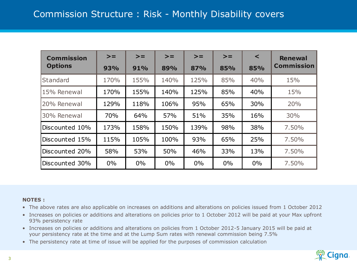| <b>Commission</b> | $>=$  | $>=$  | $>=$  | $>=$  | $>=$ | $\prec$ | <b>Renewal</b>    |
|-------------------|-------|-------|-------|-------|------|---------|-------------------|
| <b>Options</b>    | 93%   | 91%   | 89%   | 87%   | 85%  | 85%     | <b>Commission</b> |
| <b>Standard</b>   | 170%  | 155%  | 140%  | 125%  | 85%  | 40%     | 15%               |
| 15% Renewal       | 170%  | 155%  | 140%  | 125%  | 85%  | 40%     | 15%               |
| 20% Renewal       | 129%  | 118%  | 106%  | 95%   | 65%  | 30%     | 20%               |
| 30% Renewal       | 70%   | 64%   | 57%   | 51%   | 35%  | 16%     | 30%               |
| Discounted 10%    | 173%  | 158%  | 150%  | 139%  | 98%  | 38%     | 7.50%             |
| Discounted 15%    | 115%  | 105%  | 100%  | 93%   | 65%  | 25%     | 7.50%             |
| Discounted 20%    | 58%   | 53%   | 50%   | 46%   | 33%  | 13%     | 7.50%             |
| Discounted 30%    | $0\%$ | $0\%$ | $0\%$ | $0\%$ | 0%   | 0%      | 7.50%             |

## **NOTES :**

- The above rates are also applicable on increases on additions and alterations on policies issued from 1 October 2012
- Increases on policies or additions and alterations on policies prior to 1 October 2012 will be paid at your Max upfront 93% persistency rate
- Increases on policies or additions and alterations on policies from 1 October 2012-5 January 2015 will be paid at your persistency rate at the time and at the Lump Sum rates with renewal commission being 7.5%
- The persistency rate at time of issue will be applied for the purposes of commission calculation

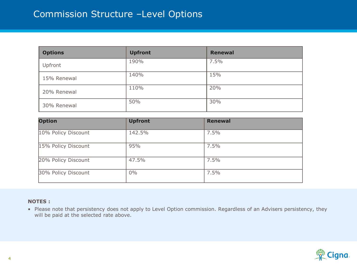# Commission Structure –Level Options

| <b>Options</b> | <b>Upfront</b> | <b>Renewal</b> |
|----------------|----------------|----------------|
| Upfront        | 190%           | 7.5%           |
| 15% Renewal    | 140%           | 15%            |
| 20% Renewal    | 110%           | 20%            |
| 30% Renewal    | 50%            | 30%            |

| <b>Option</b>       | <b>Upfront</b> | <b>Renewal</b> |
|---------------------|----------------|----------------|
| 10% Policy Discount | 142.5%         | 7.5%           |
| 15% Policy Discount | 95%            | 7.5%           |
| 20% Policy Discount | 47.5%          | 7.5%           |
| 30% Policy Discount | $0\%$          | 7.5%           |

#### **NOTES :**

• Please note that persistency does not apply to Level Option commission. Regardless of an Advisers persistency, they will be paid at the selected rate above.